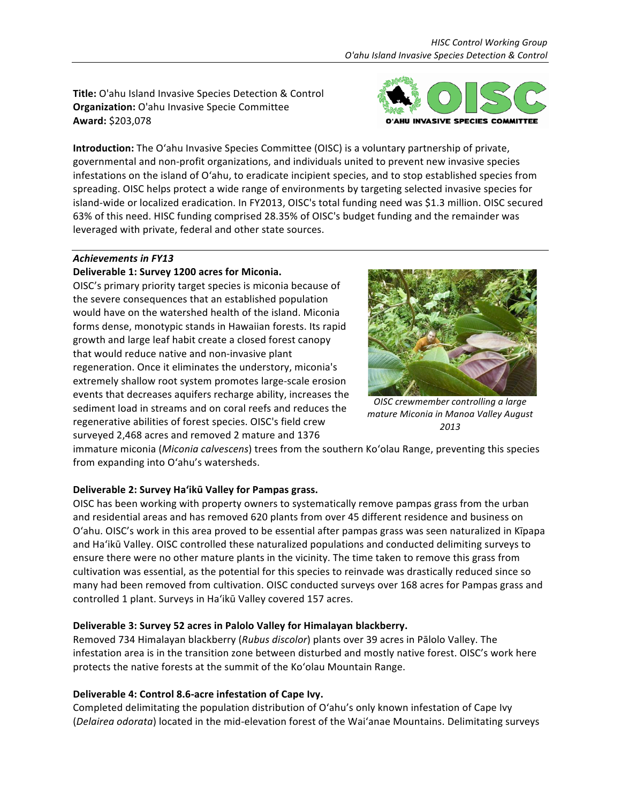Title: O'ahu Island Invasive Species Detection & Control **Organization:** O'ahu Invasive Specie Committee **Award:** \$203,078



**Introduction:** The O'ahu Invasive Species Committee (OISC) is a voluntary partnership of private, governmental and non-profit organizations, and individuals united to prevent new invasive species infestations on the island of O'ahu, to eradicate incipient species, and to stop established species from spreading. OISC helps protect a wide range of environments by targeting selected invasive species for island-wide or localized eradication. In FY2013, OISC's total funding need was \$1.3 million. OISC secured 63% of this need. HISC funding comprised 28.35% of OISC's budget funding and the remainder was leveraged with private, federal and other state sources.

## Achievements in FY13

## Deliverable 1: Survey 1200 acres for Miconia.

OISC's primary priority target species is miconia because of the severe consequences that an established population would have on the watershed health of the island. Miconia forms dense, monotypic stands in Hawaiian forests. Its rapid growth and large leaf habit create a closed forest canopy that would reduce native and non-invasive plant regeneration. Once it eliminates the understory, miconia's extremely shallow root system promotes large-scale erosion events that decreases aquifers recharge ability, increases the sediment load in streams and on coral reefs and reduces the regenerative abilities of forest species. OISC's field crew surveyed 2,468 acres and removed 2 mature and 1376



**OISC** crewmember controlling a large *mature Miconia in Manoa Valley August 2013*

immature miconia (*Miconia calvescens*) trees from the southern Ko'olau Range, preventing this species from expanding into O'ahu's watersheds.

## Deliverable 2: Survey Ha'ikū Valley for Pampas grass.

OISC has been working with property owners to systematically remove pampas grass from the urban and residential areas and has removed 620 plants from over 45 different residence and business on O'ahu. OISC's work in this area proved to be essential after pampas grass was seen naturalized in Kīpapa and Ha'ikū Valley. OISC controlled these naturalized populations and conducted delimiting surveys to ensure there were no other mature plants in the vicinity. The time taken to remove this grass from cultivation was essential, as the potential for this species to reinvade was drastically reduced since so many had been removed from cultivation. OISC conducted surveys over 168 acres for Pampas grass and controlled 1 plant. Surveys in Ha'ikū Valley covered 157 acres.

## **Deliverable 3: Survey 52 acres in Palolo Valley for Himalayan blackberry.**

Removed 734 Himalayan blackberry (*Rubus discolor*) plants over 39 acres in Pālolo Valley. The infestation area is in the transition zone between disturbed and mostly native forest. OISC's work here protects the native forests at the summit of the Ko'olau Mountain Range.

## Deliverable 4: Control 8.6-acre infestation of Cape Ivy.

Completed delimitating the population distribution of O'ahu's only known infestation of Cape Ivy (*Delairea odorata*) located in the mid-elevation forest of the Wai'anae Mountains. Delimitating surveys